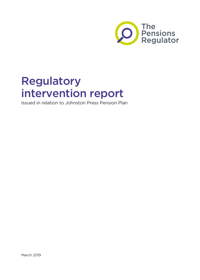

# Regulatory intervention report

Issued in relation to Johnston Press Pension Plan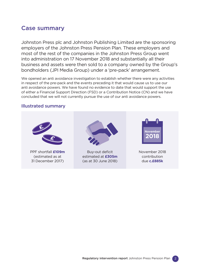### Case summary

Johnston Press plc and Johnston Publishing Limited are the sponsoring employers of the Johnston Press Pension Plan. These employers and most of the rest of the companies in the Johnston Press Group went into administration on 17 November 2018 and substantially all their business and assets were then sold to a company owned by the Group's bondholders (JPI Media Group) under a 'pre-pack' arrangement.

We opened an anti avoidance investigation to establish whether there were any activities in respect of the pre-pack and the events preceding it that would cause us to use our anti avoidance powers. We have found no evidence to date that would support the use of either a Financial Support Direction (FSD) or a Contribution Notice (CN) and we have concluded that we will not currently pursue the use of our anti avoidance powers.

### Illustrated summary



PPF shortfall **£109m** (estimated as at 31 December 2017)



Buy-out deficit estimated at **£305m** (as at 30 June 2018)



November 2018 contribution due **c.£885k**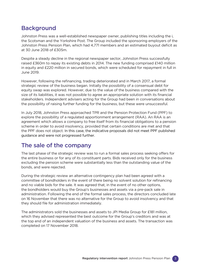## **Background**

Johnston Press was a well-established newspaper owner, publishing titles including the i, the Scotsman and the Yorkshire Post. The Group included the sponsoring employers of the Johnston Press Pension Plan, which had 4,771 members and an estimated buyout deficit as at 30 June 2018 of £305m.

Despite a steady decline in the regional newspaper sector, Johnston Press successfully raised £360m to repay its existing debts in 2014. The new funding comprised £140 million in equity and £220 million in secured bonds, which were scheduled for repayment in full in June 2019.

However, following the refinancing, trading deteriorated and in March 2017, a formal strategic review of the business began. Initially the possibility of a consensual debt for equity swap was explored. However, due to the value of the business compared with the size of its liabilities, it was not possible to agree an appropriate solution with its financial stakeholders. Independent advisers acting for the Group had been in conversations about the possibility of raising further funding for the business, but these were unsuccessful.

In July 2018, Johnston Press approached TPR and the Pension Protection Fund (PPF) to explore the possibility of a regulated apportionment arrangement (RAA). An RAA is an agreement which allows a company to free itself from its financial obligations to a pension scheme in order to avoid insolvency, provided that certain conditions are met and that the PPF does not object. In this case, the indicative proposals did not meet PPF published guidance and were not progressed further.

## The sale of the company

The last phase of the strategic review was to run a formal sales process seeking offers for the entire business or for any of its constituent parts. Bids received only for the business excluding the pension scheme were substantially less than the outstanding value of the bonds, and were rejected.

During the strategic review an alternative contingency plan had been agreed with a committee of bondholders in the event of there being no solvent solution for refinancing and no viable bids for the sale. It was agreed that, in the event of no other options, the bondholders would buy the Group's businesses and assets via a pre-pack sale in administration. Following the end of the formal sales process, the directors concluded late on 16 November that there was no alternative for the Group to avoid insolvency and that they should file for administration immediately.

The administrators sold the businesses and assets to JPI Media Group for £181 million, which they advised represented the best outcome for the Group's creditors and was at the top end of an independent valuation of the business and assets. The transaction was completed on 17 November 2018.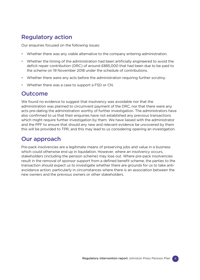## Regulatory action

Our enquiries focused on the following issues:

- Whether there was any viable alternative to the company entering administration.
- Whether the timing of the administration had been artificially engineered to avoid the deficit repair contribution (DRC) of around £885,000 that had been due to be paid to the scheme on 19 November 2018 under the schedule of contributions.
- Whether there were any acts before the administration requiring further scrutiny.
- Whether there was a case to support a FSD or CN.

### **Outcome**

We found no evidence to suggest that insolvency was avoidable nor that the administration was planned to circumvent payment of the DRC, nor that there were any acts pre-dating the administration worthy of further investigation. The administrators have also confirmed to us that their enquiries have not established any previous transactions which might require further investigation by them. We have liaised with the administrator and the PPF to ensure that should any new and relevant evidence be uncovered by them this will be provided to TPR, and this may lead to us considering opening an investigation.

### Our approach

Pre-pack insolvencies are a legitimate means of preserving jobs and value in a business which could otherwise end up in liquidation. However, where an insolvency occurs, stakeholders (including the pension scheme) may lose out. Where pre-pack insolvencies result in the removal of sponsor support from a defined benefit scheme, the parties to the transaction should expect us to investigate whether there are grounds for us to take antiavoidance action, particularly in circumstances where there is an association between the new owners and the previous owners or other stakeholders.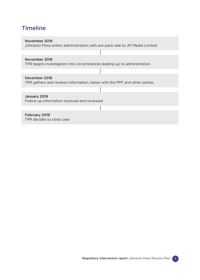# **Timeline**

#### November 2018

Johnston Press enters administration with pre-pack sale to JPI Media Limited

#### November 2018

TPR begins investigation into circumstances leading up to administration

#### December 2018

TPR gathers and reviews information, liaises with the PPF and other parties

#### January 2019

Follow up information received and reviewed

### February 2019

TPR decides to close case